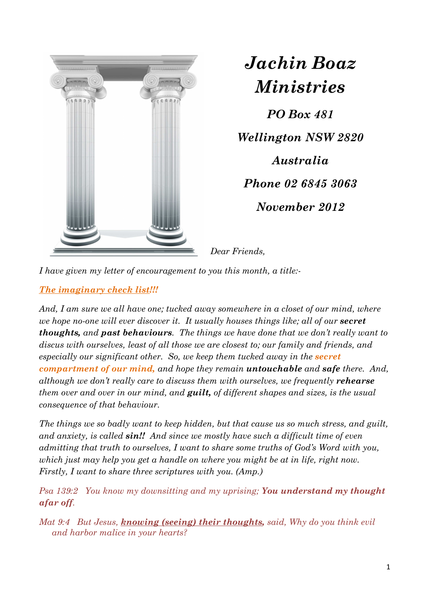

*Jachin Boaz Ministries*

*PO Box 481 Wellington NSW 2820 Australia Phone 02 6845 3063 November 2012* 

*Dear Friends,* 

*I have given my letter of encouragement to you this month, a title:-* 

## *The imaginary check list!!!*

And, I am sure we all have one; tucked away somewhere in a closet of our mind, where *we hope no-one will ever discover it. It usually houses things like; all of our <i>secret thoughts, and past behaviours. The things we have done that we don't really want to discus with ourselves, least of all those we are closest to; our family and friends, and especially our significant other.* So, we keep them tucked away in the *secret compartment of our mind, and hope they remain untouchable and safe there. And, although we don't really care to discuss them with ourselves, we frequently <i>rehearse them over and over in our mind, and guilt, of different shapes and sizes, is the usual consequence of that behaviour.* 

*The things we so badly want to keep hidden, but that cause us so much stress, and guilt, and anxiety, is called sin!! And since we mostly have such a difficult time of even admitting that truth to ourselves, I want to share some truths of God's Word with you, which just may help you get a handle on where you might be at in life, right now. Firstly, I want to share three scriptures with you. (Amp.)* 

*Psa 139:2 You know my downsitting and my uprising; You understand my thought afar off.* 

*Mat 9:4 But Jesus, knowing (seeing) their thoughts, said, Why do you think evil and harbor malice in your hearts?*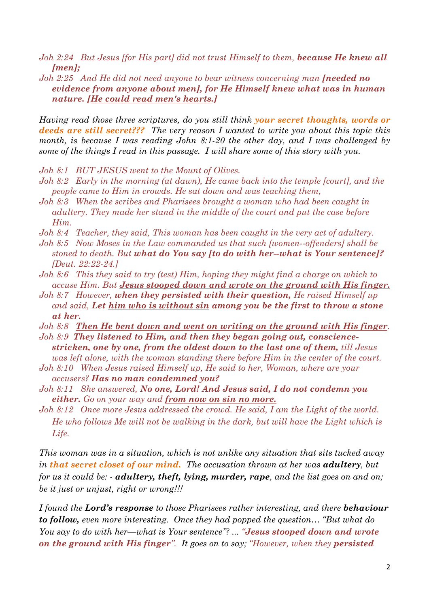- *Joh 2:24 But Jesus [for His part] did not trust Himself to them, because He knew all [men];*
- *Joh 2:25* And He did not need anyone to bear witness concerning man **[needed no** *evidence from anyone about men], for He Himself knew what was in human nature. [He could read men's hearts.]*

*Having read those three scriptures, do you still think your secret thoughts, words or deeds are still secret??? The very reason I wanted to write you about this topic this month, is because I was reading John 8:1-20 the other day, and I was challenged by some of the things I read in this passage. I will share some of this story with you.* 

- *Joh 8:1 BUT JESUS went to the Mount of Olives.*
- *Joh 8:2 Early in the morning (at dawn), He came back into the temple [court], and the people came to Him in crowds. He sat down and was teaching them,*
- *Joh 8:3 When the scribes and Pharisees brought a woman who had been caught in adultery. They made her stand in the middle of the court and put the case before Him.*
- *Joh 8:4 Teacher, they said, This woman has been caught in the very act of adultery.*
- *Joh 8:5 Now Moses in the Law commanded us that such [women--offenders] shall be stoned to death. But what do You say [to do with her--what is Your sentence]? [Deut. 22:22-24.]*
- *Joh 8:6 This they said to try (test) Him, hoping they might find a charge on which to accuse Him. But Jesus stooped down and wrote on the ground with His finger.*
- *Joh 8:7 However, when they persisted with their question, He raised Himself up and said, Let him who is without sin among you be the first to throw a stone at her.*
- *Joh 8:8 Then He bent down and went on writing on the ground with His finger.*
- *Joh 8:9 They listened to Him, and then they began going out, consciencestricken, one by one, from the oldest down to the last one of them, till Jesus was left alone, with the woman standing there before Him in the center of the court.*
- *Joh 8:10 When Jesus raised Himself up, He said to her, Woman, where are your accusers? Has no man condemned you?*
- *Joh 8:11 She answered, No one, Lord! And Jesus said, I do not condemn you either. Go on your way and from now on sin no more.*
- *Joh 8:12 Once more Jesus addressed the crowd. He said, I am the Light of the world. He who follows Me will not be walking in the dark, but will have the Light which is Life.*

*This woman was in a situation, which is not unlike any situation that sits tucked away in that secret closet of our mind. The accusation thrown at her was adultery, but for us it could be: - adultery, theft, lying, murder, rape, and the list goes on and on; be it just or unjust, right or wrong!!!* 

*I found the Lord's response to those Pharisees rather interesting, and there behaviour to follow, even more interesting. Once they had popped the question… "But what do You say to do with her—what is Your sentence"? ... "Jesus stooped down and wrote on the ground with His finger". It goes on to say; "However, when they persisted*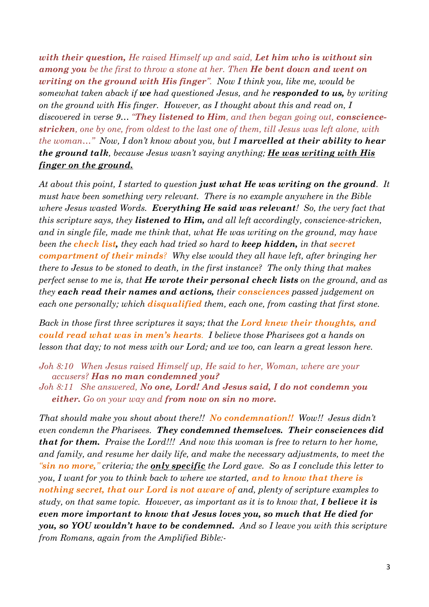*with their question, He raised Himself up and said, Let him who is without sin among you be the first to throw a stone at her. Then He bent down and went on writing on the ground with His finger". Now I think you, like me, would be somewhat taken aback if we had questioned Jesus, and he responded to us, by writing on the ground with His finger. However, as I thought about this and read on, I discovered in verse 9… "They listened to Him, and then began going out, consciencestricken, one by one, from oldest to the last one of them, till Jesus was left alone, with the woman*..." Now, I don't know about you, but I **marvelled at their ability to hear** *the ground talk, because Jesus wasn't saying anything; He was writing with His finger on the ground.* 

*At about this point, I started to question just what He was writing on the ground. It must have been something very relevant. There is no example anywhere in the Bible where Jesus wasted Words. Everything He said was relevant! So, the very fact that this scripture says, they listened to Him, and all left accordingly, conscience-stricken,*  and in single file, made me think that, what He was writing on the ground, may have *been the check list, they each had tried so hard to keep hidden, in that secret compartment of their minds? Why else would they all have left, after bringing her there to Jesus to be stoned to death, in the first instance? The only thing that makes perfect sense to me is, that He wrote their personal check lists on the ground, and as they each read their names and actions, their consciences passed judgement on each one personally; which disqualified them, each one, from casting that first stone.* 

*Back in those first three scriptures it says; that the Lord knew their thoughts, and could read what was in men's hearts. I believe those Pharisees got a hands on lesson that day; to not mess with our Lord; and we too, can learn a great lesson here.* 

*Joh 8:10 When Jesus raised Himself up, He said to her, Woman, where are your accusers? Has no man condemned you?* 

*Joh 8:11 She answered, No one, Lord! And Jesus said, I do not condemn you either. Go on your way and from now on sin no more.* 

*That should make you shout about there!! No condemnation!! Wow!! Jesus didn't even condemn the Pharisees. They condemned themselves. Their consciences did that for them. Praise the Lord!!! And now this woman is free to return to her home, and family, and resume her daily life, and make the necessary adjustments, to meet the "sin no more," criteria; the only specific the Lord gave. So as I conclude this letter to you, I want for you to think back to where we started, and to know that there is nothing secret, that our Lord is not aware of and, plenty of scripture examples to study, on that same topic. However, as important as it is to know that, I believe it is even more important to know that Jesus loves you, so much that He died for you, so YOU wouldn't have to be condemned. And so I leave you with this scripture from Romans, again from the Amplified Bible:-*